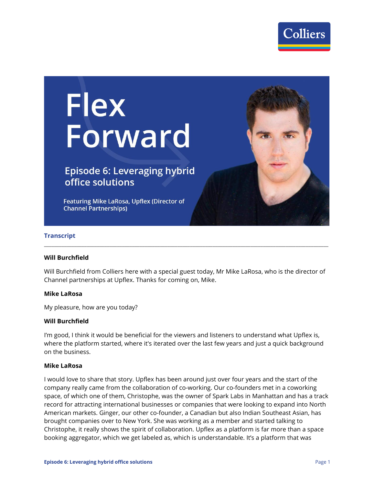

# Flex<br>Forward

# **Episode 6: Leveraging hybrid** office solutions

Featuring Mike LaRosa, Upflex (Director of **Channel Partnerships)** 

#### **Transcript**

#### **Will Burchfield**

Will Burchfield from Colliers here with a special guest today, Mr Mike LaRosa, who is the director of Channel partnerships at Upflex. Thanks for coming on, Mike.

**\_\_\_\_\_\_\_\_\_\_\_\_\_\_\_\_\_\_\_\_\_\_\_\_\_\_\_\_\_\_\_\_\_\_\_\_\_\_\_\_\_\_\_\_\_\_\_\_\_\_\_\_\_\_\_\_\_\_\_\_\_\_\_\_\_\_\_\_\_\_\_\_\_\_\_\_\_\_\_\_\_\_\_\_\_\_\_\_\_\_\_\_\_\_\_\_\_\_\_\_\_\_\_\_\_\_\_\_\_\_\_\_\_**

#### **Mike LaRosa**

My pleasure, how are you today?

#### **Will Burchfield**

I'm good, I think it would be beneficial for the viewers and listeners to understand what Upflex is, where the platform started, where it's iterated over the last few years and just a quick background on the business.

#### **Mike LaRosa**

I would love to share that story. Upflex has been around just over four years and the start of the company really came from the collaboration of co-working. Our co-founders met in a coworking space, of which one of them, Christophe, was the owner of Spark Labs in Manhattan and has a track record for attracting international businesses or companies that were looking to expand into North American markets. Ginger, our other co-founder, a Canadian but also Indian Southeast Asian, has brought companies over to New York. She was working as a member and started talking to Christophe, it really shows the spirit of collaboration. Upflex as a platform is far more than a space booking aggregator, which we get labeled as, which is understandable. It's a platform that was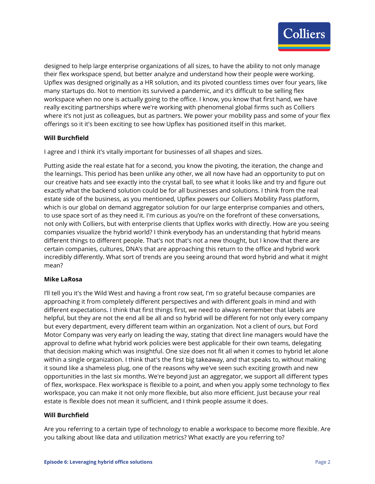

designed to help large enterprise organizations of all sizes, to have the ability to not only manage their flex workspace spend, but better analyze and understand how their people were working. Upflex was designed originally as a HR solution, and its pivoted countless times over four years, like many startups do. Not to mention its survived a pandemic, and it's difficult to be selling flex workspace when no one is actually going to the office. I know, you know that first hand, we have really exciting partnerships where we're working with phenomenal global firms such as Colliers where it's not just as colleagues, but as partners. We power your mobility pass and some of your flex offerings so it it's been exciting to see how Upflex has positioned itself in this market.

## **Will Burchfield**

I agree and I think it's vitally important for businesses of all shapes and sizes.

Putting aside the real estate hat for a second, you know the pivoting, the iteration, the change and the learnings. This period has been unlike any other, we all now have had an opportunity to put on our creative hats and see exactly into the crystal ball, to see what it looks like and try and figure out exactly what the backend solution could be for all businesses and solutions. I think from the real estate side of the business, as you mentioned, Upflex powers our Colliers Mobility Pass platform, which is our global on demand aggregator solution for our large enterprise companies and others, to use space sort of as they need it. I'm curious as you're on the forefront of these conversations, not only with Colliers, but with enterprise clients that Upflex works with directly. How are you seeing companies visualize the hybrid world? I think everybody has an understanding that hybrid means different things to different people. That's not that's not a new thought, but I know that there are certain companies, cultures, DNA's that are approaching this return to the office and hybrid work incredibly differently. What sort of trends are you seeing around that word hybrid and what it might mean?

#### **Mike LaRosa**

I'll tell you it's the Wild West and having a front row seat, I'm so grateful because companies are approaching it from completely different perspectives and with different goals in mind and with different expectations. I think that first things first, we need to always remember that labels are helpful, but they are not the end all be all and so hybrid will be different for not only every company but every department, every different team within an organization. Not a client of ours, but Ford Motor Company was very early on leading the way, stating that direct line managers would have the approval to define what hybrid work policies were best applicable for their own teams, delegating that decision making which was insightful. One size does not fit all when it comes to hybrid let alone within a single organization. I think that's the first big takeaway, and that speaks to, without making it sound like a shameless plug, one of the reasons why we've seen such exciting growth and new opportunities in the last six months. We're beyond just an aggregator, we support all different types of flex, workspace. Flex workspace is flexible to a point, and when you apply some technology to flex workspace, you can make it not only more flexible, but also more efficient. Just because your real estate is flexible does not mean it sufficient, and I think people assume it does.

#### **Will Burchfield**

Are you referring to a certain type of technology to enable a workspace to become more flexible. Are you talking about like data and utilization metrics? What exactly are you referring to?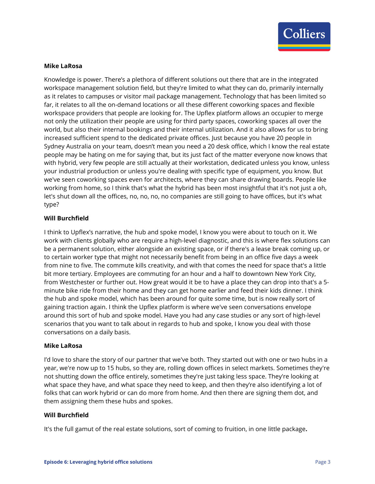

#### **Mike LaRosa**

Knowledge is power. There's a plethora of different solutions out there that are in the integrated workspace management solution field, but they're limited to what they can do, primarily internally as it relates to campuses or visitor mail package management. Technology that has been limited so far, it relates to all the on-demand locations or all these different coworking spaces and flexible workspace providers that people are looking for. The Upflex platform allows an occupier to merge not only the utilization their people are using for third party spaces, coworking spaces all over the world, but also their internal bookings and their internal utilization. And it also allows for us to bring increased sufficient spend to the dedicated private offices. Just because you have 20 people in Sydney Australia on your team, doesn't mean you need a 20 desk office, which I know the real estate people may be hating on me for saying that, but its just fact of the matter everyone now knows that with hybrid, very few people are still actually at their workstation, dedicated unless you know, unless your industrial production or unless you're dealing with specific type of equipment, you know. But we've seen coworking spaces even for architects, where they can share drawing boards. People like working from home, so I think that's what the hybrid has been most insightful that it's not just a oh, let's shut down all the offices, no, no, no, no companies are still going to have offices, but it's what type?

#### **Will Burchfield**

I think to Upflex's narrative, the hub and spoke model, I know you were about to touch on it. We work with clients globally who are require a high-level diagnostic, and this is where flex solutions can be a permanent solution, either alongside an existing space, or if there's a lease break coming up, or to certain worker type that might not necessarily benefit from being in an office five days a week from nine to five. The commute kills creativity, and with that comes the need for space that's a little bit more tertiary. Employees are commuting for an hour and a half to downtown New York City, from Westchester or further out. How great would it be to have a place they can drop into that's a 5 minute bike ride from their home and they can get home earlier and feed their kids dinner. I think the hub and spoke model, which has been around for quite some time, but is now really sort of gaining traction again. I think the Upflex platform is where we've seen conversations envelope around this sort of hub and spoke model. Have you had any case studies or any sort of high-level scenarios that you want to talk about in regards to hub and spoke, I know you deal with those conversations on a daily basis.

#### **Mike LaRosa**

I'd love to share the story of our partner that we've both. They started out with one or two hubs in a year, we're now up to 15 hubs, so they are, rolling down offices in select markets. Sometimes they're not shutting down the office entirely, sometimes they're just taking less space. They're looking at what space they have, and what space they need to keep, and then they're also identifying a lot of folks that can work hybrid or can do more from home. And then there are signing them dot, and them assigning them these hubs and spokes.

#### **Will Burchfield**

It's the full gamut of the real estate solutions, sort of coming to fruition, in one little package**.**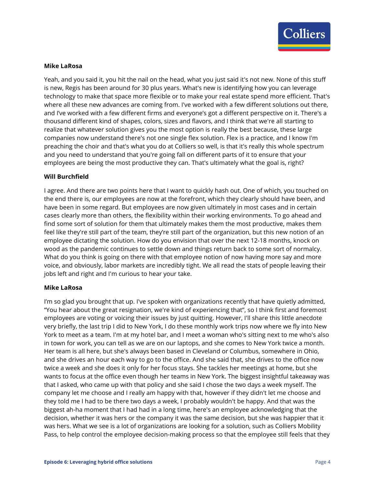

#### **Mike LaRosa**

Yeah, and you said it, you hit the nail on the head, what you just said it's not new. None of this stuff is new, Regis has been around for 30 plus years. What's new is identifying how you can leverage technology to make that space more flexible or to make your real estate spend more efficient. That's where all these new advances are coming from. I've worked with a few different solutions out there, and I've worked with a few different firms and everyone's got a different perspective on it. There's a thousand different kind of shapes, colors, sizes and flavors, and I think that we're all starting to realize that whatever solution gives you the most option is really the best because, these large companies now understand there's not one single flex solution. Flex is a practice, and I know I'm preaching the choir and that's what you do at Colliers so well, is that it's really this whole spectrum and you need to understand that you're going fall on different parts of it to ensure that your employees are being the most productive they can. That's ultimately what the goal is, right?

#### **Will Burchfield**

I agree. And there are two points here that I want to quickly hash out. One of which, you touched on the end there is, our employees are now at the forefront, which they clearly should have been, and have been in some regard. But employees are now given ultimately in most cases and in certain cases clearly more than others, the flexibility within their working environments. To go ahead and find some sort of solution for them that ultimately makes them the most productive, makes them feel like they're still part of the team, they're still part of the organization, but this new notion of an employee dictating the solution. How do you envision that over the next 12-18 months, knock on wood as the pandemic continues to settle down and things return back to some sort of normalcy. What do you think is going on there with that employee notion of now having more say and more voice, and obviously, labor markets are incredibly tight. We all read the stats of people leaving their jobs left and right and I'm curious to hear your take.

#### **Mike LaRosa**

I'm so glad you brought that up. I've spoken with organizations recently that have quietly admitted, "You hear about the great resignation, we're kind of experiencing that", so I think first and foremost employees are voting or voicing their issues by just quitting. However, I'll share this little anecdote very briefly, the last trip I did to New York, I do these monthly work trips now where we fly into New York to meet as a team. I'm at my hotel bar, and I meet a woman who's sitting next to me who's also in town for work, you can tell as we are on our laptops, and she comes to New York twice a month. Her team is all here, but she's always been based in Cleveland or Columbus, somewhere in Ohio, and she drives an hour each way to go to the office. And she said that, she drives to the office now twice a week and she does it only for her focus stays. She tackles her meetings at home, but she wants to focus at the office even though her teams in New York. The biggest insightful takeaway was that I asked, who came up with that policy and she said I chose the two days a week myself. The company let me choose and I really am happy with that, however if they didn't let me choose and they told me I had to be there two days a week, I probably wouldn't be happy. And that was the biggest ah-ha moment that I had had in a long time, here's an employee acknowledging that the decision, whether it was hers or the company it was the same decision, but she was happier that it was hers. What we see is a lot of organizations are looking for a solution, such as Colliers Mobility Pass, to help control the employee decision-making process so that the employee still feels that they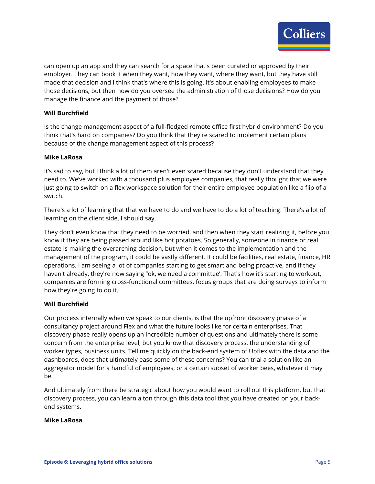

can open up an app and they can search for a space that's been curated or approved by their employer. They can book it when they want, how they want, where they want, but they have still made that decision and I think that's where this is going. It's about enabling employees to make those decisions, but then how do you oversee the administration of those decisions? How do you manage the finance and the payment of those?

#### **Will Burchfield**

Is the change management aspect of a full-fledged remote office first hybrid environment? Do you think that's hard on companies? Do you think that they're scared to implement certain plans because of the change management aspect of this process?

#### **Mike LaRosa**

It's sad to say, but I think a lot of them aren't even scared because they don't understand that they need to. We've worked with a thousand plus employee companies, that really thought that we were just going to switch on a flex workspace solution for their entire employee population like a flip of a switch.

There's a lot of learning that that we have to do and we have to do a lot of teaching. There's a lot of learning on the client side, I should say.

They don't even know that they need to be worried, and then when they start realizing it, before you know it they are being passed around like hot potatoes. So generally, someone in finance or real estate is making the overarching decision, but when it comes to the implementation and the management of the program, it could be vastly different. It could be facilities, real estate, finance, HR operations. I am seeing a lot of companies starting to get smart and being proactive, and if they haven't already, they're now saying "ok, we need a committee'. That's how it's starting to workout, companies are forming cross-functional committees, focus groups that are doing surveys to inform how they're going to do it.

#### **Will Burchfield**

Our process internally when we speak to our clients, is that the upfront discovery phase of a consultancy project around Flex and what the future looks like for certain enterprises. That discovery phase really opens up an incredible number of questions and ultimately there is some concern from the enterprise level, but you know that discovery process, the understanding of worker types, business units. Tell me quickly on the back-end system of Upflex with the data and the dashboards, does that ultimately ease some of these concerns? You can trial a solution like an aggregator model for a handful of employees, or a certain subset of worker bees, whatever it may be.

And ultimately from there be strategic about how you would want to roll out this platform, but that discovery process, you can learn a ton through this data tool that you have created on your backend systems.

#### **Mike LaRosa**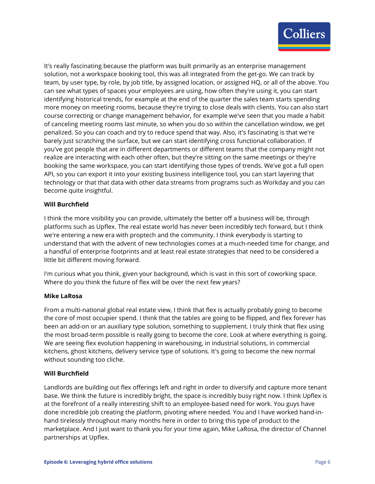

It's really fascinating because the platform was built primarily as an enterprise management solution, not a workspace booking tool, this was all integrated from the get-go. We can track by team, by user type, by role, by job title, by assigned location, or assigned HQ, or all of the above. You can see what types of spaces your employees are using, how often they're using it, you can start identifying historical trends, for example at the end of the quarter the sales team starts spending more money on meeting rooms, because they're trying to close deals with clients. You can also start course correcting or change management behavior, for example we've seen that you made a habit of canceling meeting rooms last minute, so when you do so within the cancellation window, we get penalized. So you can coach and try to reduce spend that way. Also, it's fascinating is that we're barely just scratching the surface, but we can start identifying cross functional collaboration. If you've got people that are in different departments or different teams that the company might not realize are interacting with each other often, but they're sitting on the same meetings or they're booking the same workspace, you can start identifying those types of trends. We've got a full open API, so you can export it into your existing business intelligence tool, you can start layering that technology or that that data with other data streams from programs such as Workday and you can become quite insightful.

## **Will Burchfield**

I think the more visibility you can provide, ultimately the better off a business will be, through platforms such as Upflex. The real estate world has never been incredibly tech forward, but I think we're entering a new era with proptech and the community. I think everybody is starting to understand that with the advent of new technologies comes at a much-needed time for change, and a handful of enterprise footprints and at least real estate strategies that need to be considered a little bit different moving forward.

I'm curious what you think, given your background, which is vast in this sort of coworking space. Where do you think the future of flex will be over the next few years?

#### **Mike LaRosa**

From a multi-national global real estate view, I think that flex is actually probably going to become the core of most occupier spend. I think that the tables are going to be flipped, and flex forever has been an add-on or an auxiliary type solution, something to supplement. I truly think that flex using the most broad-term possible is really going to become the core. Look at where everything is going. We are seeing flex evolution happening in warehousing, in industrial solutions, in commercial kitchens, ghost kitchens, delivery service type of solutions. It's going to become the new normal without sounding too cliche.

# **Will Burchfield**

Landlords are building out flex offerings left and right in order to diversify and capture more tenant base. We think the future is incredibly bright, the space is incredibly busy right now. I think Upflex is at the forefront of a really interesting shift to an employee-based need for work. You guys have done incredible job creating the platform, pivoting where needed. You and I have worked hand-inhand tirelessly throughout many months here in order to bring this type of product to the marketplace. And I just want to thank you for your time again, Mike LaRosa, the director of Channel partnerships at Upflex.